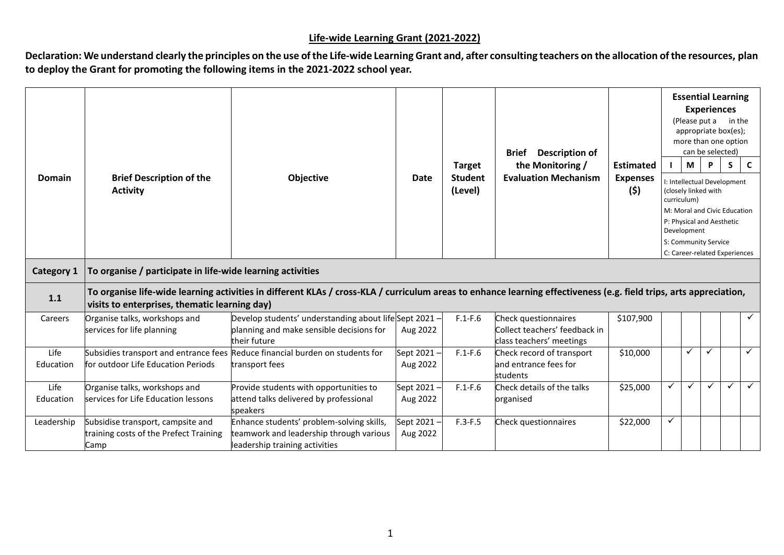## **Life-wide Learning Grant (2021-2022)**

Declaration: We understand clearly the principles on the use of the Life-wide Learning Grant and, after consulting teachers on the allocation of the resources, plan **to deploy the Grant for promoting the following items in the 2021-2022 school year.**

|                   |                                                                                     |                                                                                                                                                                    |                         |                           | <b>Description of</b><br><b>Brief</b>                          |                        |   |             | <b>Essential Learning</b><br><b>Experiences</b><br>(Please put a<br>appropriate box(es);<br>more than one option<br>can be selected) | in the |              |
|-------------------|-------------------------------------------------------------------------------------|--------------------------------------------------------------------------------------------------------------------------------------------------------------------|-------------------------|---------------------------|----------------------------------------------------------------|------------------------|---|-------------|--------------------------------------------------------------------------------------------------------------------------------------|--------|--------------|
|                   |                                                                                     |                                                                                                                                                                    |                         | <b>Target</b>             | the Monitoring /                                               | <b>Estimated</b>       |   | М           | P                                                                                                                                    | S      | $\mathbf{C}$ |
| <b>Domain</b>     | <b>Brief Description of the</b><br><b>Activity</b>                                  | Objective                                                                                                                                                          | Date                    | <b>Student</b><br>(Level) | <b>Evaluation Mechanism</b>                                    | <b>Expenses</b><br>(5) |   | curriculum) | I: Intellectual Development<br>(closely linked with<br>M: Moral and Civic Education                                                  |        |              |
|                   |                                                                                     |                                                                                                                                                                    |                         |                           |                                                                |                        |   | Development | P: Physical and Aesthetic                                                                                                            |        |              |
|                   |                                                                                     |                                                                                                                                                                    |                         |                           |                                                                |                        |   |             | S: Community Service                                                                                                                 |        |              |
|                   |                                                                                     |                                                                                                                                                                    |                         |                           |                                                                |                        |   |             | C: Career-related Experiences                                                                                                        |        |              |
| <b>Category 1</b> | To organise / participate in life-wide learning activities                          |                                                                                                                                                                    |                         |                           |                                                                |                        |   |             |                                                                                                                                      |        |              |
| 1.1               | visits to enterprises, thematic learning day)                                       | To organise life-wide learning activities in different KLAs / cross-KLA / curriculum areas to enhance learning effectiveness (e.g. field trips, arts appreciation, |                         |                           |                                                                |                        |   |             |                                                                                                                                      |        |              |
| Careers           | Organise talks, workshops and<br>services for life planning                         | Develop students' understanding about life Sept 2021 -<br>planning and make sensible decisions for                                                                 | Aug 2022                | $F.1-F.6$                 | Check questionnaires<br>Collect teachers' feedback in          | \$107,900              |   |             |                                                                                                                                      |        | $\checkmark$ |
|                   |                                                                                     | their future                                                                                                                                                       |                         |                           | class teachers' meetings                                       |                        |   |             |                                                                                                                                      |        |              |
| Life<br>Education | for outdoor Life Education Periods                                                  | Subsidies transport and entrance fees Reduce financial burden on students for<br>transport fees                                                                    | Sept 2021 -<br>Aug 2022 | $F.1-F.6$                 | Check record of transport<br>and entrance fees for<br>students | \$10,000               |   | ✓           | ✓                                                                                                                                    |        | $\checkmark$ |
| Life<br>Education | Organise talks, workshops and<br>services for Life Education lessons                | Provide students with opportunities to<br>attend talks delivered by professional<br>speakers                                                                       | Sept 2021 -<br>Aug 2022 | $F.1-F.6$                 | Check details of the talks<br>organised                        | \$25,000               | ✓ | ✓           |                                                                                                                                      | ✓      | $\checkmark$ |
| Leadership        | Subsidise transport, campsite and<br>training costs of the Prefect Training<br>Camp | Enhance students' problem-solving skills,<br>teamwork and leadership through various<br>leadership training activities                                             | Sept 2021 -<br>Aug 2022 | $F.3-F.5$                 | Check questionnaires                                           | \$22,000               | ✓ |             |                                                                                                                                      |        |              |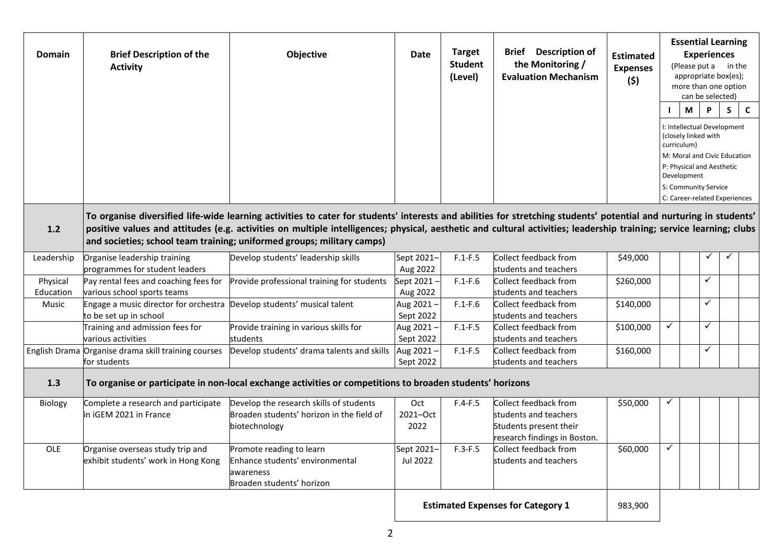| <b>Domain</b>         | <b>Brief Description of the</b><br><b>Activity</b>                      | <b>Objective</b>                                                                                                                                                                                                                                                                                                                                                                                                    | Date                     | <b>Target</b><br><b>Student</b><br>(Level) | <b>Brief</b> Description of<br>the Monitoring /<br><b>Evaluation Mechanism</b>                           | <b>Estimated</b><br><b>Expenses</b><br>(5) |              | <b>Essential Learning</b><br><b>Experiences</b><br>(Please put a in the<br>appropriate box(es);<br>more than one option<br>can be selected)<br>M<br>I: Intellectual Development<br>(closely linked with<br>curriculum) | P            | S. | $\mathsf{C}$ |
|-----------------------|-------------------------------------------------------------------------|---------------------------------------------------------------------------------------------------------------------------------------------------------------------------------------------------------------------------------------------------------------------------------------------------------------------------------------------------------------------------------------------------------------------|--------------------------|--------------------------------------------|----------------------------------------------------------------------------------------------------------|--------------------------------------------|--------------|------------------------------------------------------------------------------------------------------------------------------------------------------------------------------------------------------------------------|--------------|----|--------------|
|                       |                                                                         |                                                                                                                                                                                                                                                                                                                                                                                                                     |                          |                                            |                                                                                                          |                                            |              | M: Moral and Civic Education<br>P: Physical and Aesthetic<br>Development<br>S: Community Service<br>C: Career-related Experiences                                                                                      |              |    |              |
| $1.2$                 |                                                                         | To organise diversified life-wide learning activities to cater for students' interests and abilities for stretching students' potential and nurturing in students'<br>positive values and attitudes (e.g. activities on multiple intelligences; physical, aesthetic and cultural activities; leadership training; service learning; clubs<br>and societies; school team training; uniformed groups; military camps) |                          |                                            |                                                                                                          |                                            |              |                                                                                                                                                                                                                        |              |    |              |
| Leadership            | Organise leadership training<br>programmes for student leaders          | Develop students' leadership skills                                                                                                                                                                                                                                                                                                                                                                                 | Sept 2021-<br>Aug 2022   | $F.1-F.5$                                  | Collect feedback from<br>students and teachers                                                           | \$49,000                                   |              |                                                                                                                                                                                                                        |              |    |              |
| Physical<br>Education | Pay rental fees and coaching fees for<br>various school sports teams    | Provide professional training for students                                                                                                                                                                                                                                                                                                                                                                          | Sept 2021-<br>Aug 2022   | $F.1-F.6$                                  | Collect feedback from<br>students and teachers                                                           | \$260,000                                  |              |                                                                                                                                                                                                                        | $\checkmark$ |    |              |
| Music                 | Engage a music director for orchestra<br>to be set up in school         | Develop students' musical talent                                                                                                                                                                                                                                                                                                                                                                                    | Aug 2021-<br>Sept 2022   | $F.1-F.6$                                  | Collect feedback from<br>students and teachers                                                           | \$140,000                                  |              |                                                                                                                                                                                                                        | $\checkmark$ |    |              |
|                       | Training and admission fees for<br>various activities                   | Provide training in various skills for<br>students                                                                                                                                                                                                                                                                                                                                                                  | Aug 2021-<br>Sept 2022   | $F.1-F.5$                                  | Collect feedback from<br>students and teachers                                                           | \$100,000                                  | ✓            |                                                                                                                                                                                                                        | $\checkmark$ |    |              |
|                       | English Drama Organise drama skill training courses<br>for students     | Develop students' drama talents and skills                                                                                                                                                                                                                                                                                                                                                                          | Aug 2021-<br>Sept 2022   | $F.1-F.5$                                  | Collect feedback from<br>students and teachers                                                           | \$160,000                                  |              |                                                                                                                                                                                                                        | $\checkmark$ |    |              |
| 1.3                   |                                                                         | To organise or participate in non-local exchange activities or competitions to broaden students' horizons                                                                                                                                                                                                                                                                                                           |                          |                                            |                                                                                                          |                                            |              |                                                                                                                                                                                                                        |              |    |              |
| Biology               | Complete a research and participate<br>in iGEM 2021 in France           | Develop the research skills of students<br>Broaden students' horizon in the field of<br>biotechnology                                                                                                                                                                                                                                                                                                               | Oct.<br>2021-Oct<br>2022 | $F.4-F.5$                                  | Collect feedback from<br>students and teachers<br>Students present their<br>research findings in Boston. | \$50,000                                   |              |                                                                                                                                                                                                                        |              |    |              |
| <b>OLE</b>            | Organise overseas study trip and<br>exhibit students' work in Hong Kong | Promote reading to learn<br>Enhance students' environmental<br>awareness<br>Broaden students' horizon                                                                                                                                                                                                                                                                                                               | Sept 2021-<br>Jul 2022   | $F.3-F.5$                                  | Collect feedback from<br>students and teachers                                                           | \$60,000                                   | $\checkmark$ |                                                                                                                                                                                                                        |              |    |              |
|                       |                                                                         |                                                                                                                                                                                                                                                                                                                                                                                                                     |                          |                                            | <b>Estimated Expenses for Category 1</b>                                                                 | 983,900                                    |              |                                                                                                                                                                                                                        |              |    |              |